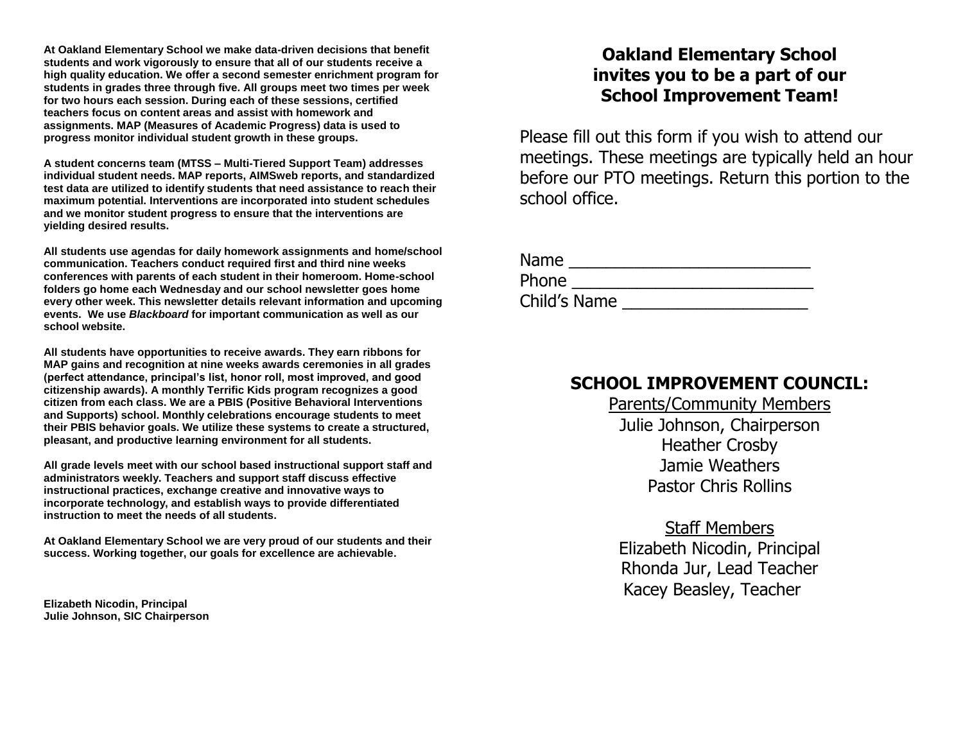**At Oakland Elementary School we make data-driven decisions that benefit students and work vigorously to ensure that all of our students receive a high quality education. We offer a second semester enrichment program for students in grades three through five. All groups meet two times per week for two hours each session. During each of these sessions, certified teachers focus on content areas and assist with homework and assignments. MAP (Measures of Academic Progress) data is used to progress monitor individual student growth in these groups.** 

**A student concerns team (MTSS – Multi-Tiered Support Team) addresses individual student needs. MAP reports, AIMSweb reports, and standardized test data are utilized to identify students that need assistance to reach their maximum potential. Interventions are incorporated into student schedules and we monitor student progress to ensure that the interventions are yielding desired results.** 

**All students use agendas for daily homework assignments and home/school communication. Teachers conduct required first and third nine weeks conferences with parents of each student in their homeroom. Home-school folders go home each Wednesday and our school newsletter goes home every other week. This newsletter details relevant information and upcoming events. We use** *Blackboard* **for important communication as well as our school website.**

**All students have opportunities to receive awards. They earn ribbons for MAP gains and recognition at nine weeks awards ceremonies in all grades (perfect attendance, principal's list, honor roll, most improved, and good citizenship awards). A monthly Terrific Kids program recognizes a good citizen from each class. We are a PBIS (Positive Behavioral Interventions and Supports) school. Monthly celebrations encourage students to meet their PBIS behavior goals. We utilize these systems to create a structured, pleasant, and productive learning environment for all students.**

**All grade levels meet with our school based instructional support staff and administrators weekly. Teachers and support staff discuss effective instructional practices, exchange creative and innovative ways to incorporate technology, and establish ways to provide differentiated instruction to meet the needs of all students.**

**At Oakland Elementary School we are very proud of our students and their success. Working together, our goals for excellence are achievable.**

**Elizabeth Nicodin, Principal Julie Johnson, SIC Chairperson**

### **Oakland Elementary School invites you to be a part of our School Improvement Team!**

Please fill out this form if you wish to attend our meetings. These meetings are typically held an hour before our PTO meetings. Return this portion to the school office.

| <b>Name</b>  |  |  |
|--------------|--|--|
| Phone        |  |  |
| Child's Name |  |  |

#### **SCHOOL IMPROVEMENT COUNCIL:**

Parents/Community Members Julie Johnson, Chairperson Heather Crosby Jamie Weathers Pastor Chris Rollins

Staff Members Elizabeth Nicodin, Principal Rhonda Jur, Lead Teacher Kacey Beasley, Teacher